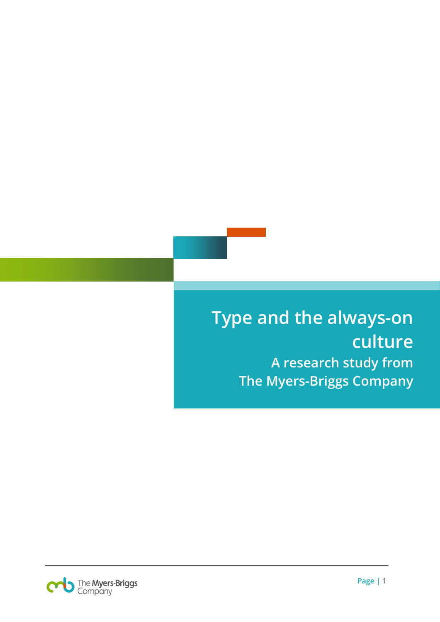# **Type and the always-on culture A research study from The Myers-Briggs Company**

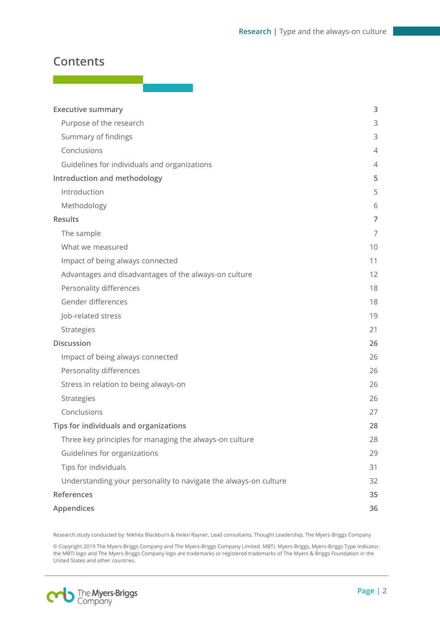### **Contents**

| <b>Executive summary</b>                                         | 3                 |
|------------------------------------------------------------------|-------------------|
| Purpose of the research                                          | 3                 |
| Summary of findings                                              | 3                 |
| Conclusions                                                      | 4                 |
| Guidelines for individuals and organizations                     | 4                 |
| Introduction and methodology                                     | 5                 |
| Introduction                                                     | 5                 |
| Methodology                                                      | 6                 |
| <b>Results</b>                                                   | 7                 |
| The sample                                                       | 7                 |
| What we measured                                                 | 10                |
| Impact of being always connected                                 | 11                |
| Advantages and disadvantages of the always-on culture            | $12 \overline{ }$ |
| Personality differences                                          | 18                |
| Gender differences                                               | 18                |
| Job-related stress                                               | 19                |
| Strategies                                                       | 21                |
| <b>Discussion</b>                                                | 26                |
| Impact of being always connected                                 | 26                |
| Personality differences                                          | 26                |
| Stress in relation to being always-on                            | 26                |
| Strategies                                                       | 26                |
| Conclusions                                                      | 27                |
| Tips for individuals and organizations                           | 28                |
| Three key principles for managing the always-on culture          | 28                |
| Guidelines for organizations                                     | 29                |
| Tips for individuals                                             | 31                |
| Understanding your personality to navigate the always-on culture | 32                |
| References                                                       | 35                |
| Appendices                                                       | 36                |

Research study conducted by: Nikhita Blackburn & Helen Rayner, Lead consultants, Thought Leadership, The Myers-Briggs Company

© Copyright 2019 The Myers-Briggs Company and The Myers-Briggs Company Limited. MBTI, Myers-Briggs, Myers-Briggs Type Indicator, the MBTI logo and The Myers-Briggs Company logo are trademarks or registered trademarks of The Myers & Briggs Foundation in the United States and other countries.

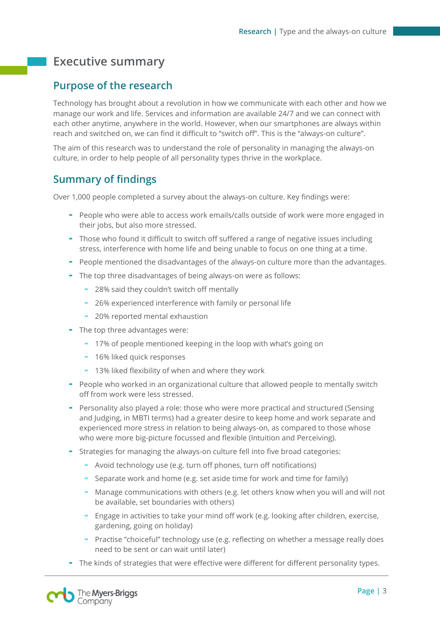# <span id="page-2-0"></span>**Executive summary**

### <span id="page-2-1"></span>**Purpose of the research**

Technology has brought about a revolution in how we communicate with each other and how we manage our work and life. Services and information are available 24/7 and we can connect with each other anytime, anywhere in the world. However, when our smartphones are always within reach and switched on, we can find it difficult to "switch off". This is the "always-on culture".

The aim of this research was to understand the role of personality in managing the always-on culture, in order to help people of all personality types thrive in the workplace.

### <span id="page-2-2"></span>**Summary of findings**

Over 1,000 people completed a survey about the always-on culture. Key findings were:

- People who were able to access work emails/calls outside of work were more engaged in their jobs, but also more stressed.
- Those who found it difficult to switch off suffered a range of negative issues including stress, interference with home life and being unable to focus on one thing at a time.
- People mentioned the disadvantages of the always-on culture more than the advantages.
- The top three disadvantages of being always-on were as follows:
	- 28% said they couldn't switch off mentally
	- 26% experienced interference with family or personal life
	- 20% reported mental exhaustion
- The top three advantages were:
	- 17% of people mentioned keeping in the loop with what's going on
	- 16% liked quick responses
	- 13% liked flexibility of when and where they work
- People who worked in an organizational culture that allowed people to mentally switch off from work were less stressed.
- Personality also played a role: those who were more practical and structured (Sensing and Judging, in MBTI terms) had a greater desire to keep home and work separate and experienced more stress in relation to being always-on, as compared to those whose who were more big-picture focussed and flexible (Intuition and Perceiving).
- Strategies for managing the always-on culture fell into five broad categories:
	- Avoid technology use (e.g. turn off phones, turn off notifications)
	- Separate work and home (e.g. set aside time for work and time for family)
	- Manage communications with others (e.g. let others know when you will and will not be available, set boundaries with others)
	- Engage in activities to take your mind off work (e.g. looking after children, exercise, gardening, going on holiday)
	- Practise "choiceful" technology use (e.g. reflecting on whether a message really does need to be sent or can wait until later)
- The kinds of strategies that were effective were different for different personality types.

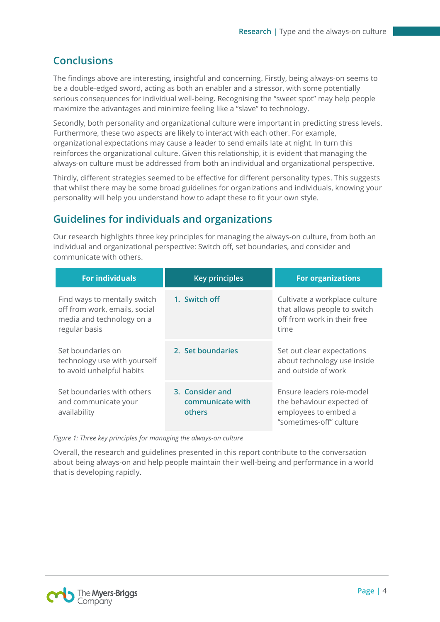### <span id="page-3-0"></span>**Conclusions**

The findings above are interesting, insightful and concerning. Firstly, being always-on seems to be a double-edged sword, acting as both an enabler and a stressor, with some potentially serious consequences for individual well-being. Recognising the "sweet spot" may help people maximize the advantages and minimize feeling like a "slave" to technology.

Secondly, both personality and organizational culture were important in predicting stress levels. Furthermore, these two aspects are likely to interact with each other. For example, organizational expectations may cause a leader to send emails late at night. In turn this reinforces the organizational culture. Given this relationship, it is evident that managing the always-on culture must be addressed from both an individual and organizational perspective.

Thirdly, different strategies seemed to be effective for different personality types. This suggests that whilst there may be some broad guidelines for organizations and individuals, knowing your personality will help you understand how to adapt these to fit your own style.

### <span id="page-3-1"></span>**Guidelines for individuals and organizations**

Our research highlights three key principles for managing the always-on culture, from both an individual and organizational perspective: Switch off, set boundaries, and consider and communicate with others.

| <b>For individuals</b>                                                                                      | <b>Key principles</b>                         | <b>For organizations</b>                                                                                  |
|-------------------------------------------------------------------------------------------------------------|-----------------------------------------------|-----------------------------------------------------------------------------------------------------------|
| Find ways to mentally switch<br>off from work, emails, social<br>media and technology on a<br>regular basis | 1. Switch off                                 | Cultivate a workplace culture<br>that allows people to switch<br>off from work in their free<br>time      |
| Set boundaries on<br>technology use with yourself<br>to avoid unhelpful habits                              | 2. Set boundaries                             | Set out clear expectations<br>about technology use inside<br>and outside of work                          |
| Set boundaries with others<br>and communicate your<br>availability                                          | 3. Consider and<br>communicate with<br>others | Ensure leaders role-model<br>the behaviour expected of<br>employees to embed a<br>"sometimes-off" culture |

*Figure 1: Three key principles for managing the always-on culture*

Overall, the research and guidelines presented in this report contribute to the conversation about being always-on and help people maintain their well-being and performance in a world that is developing rapidly.

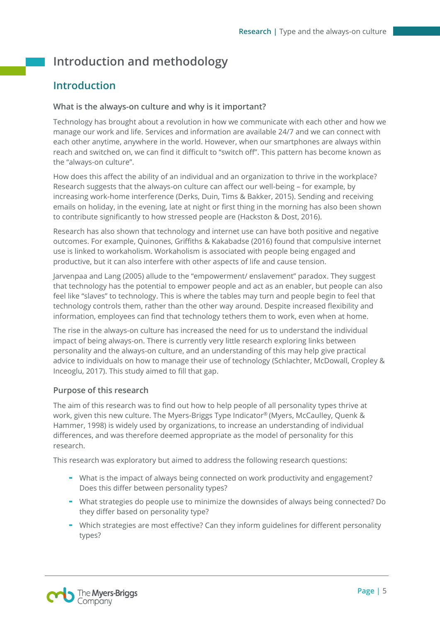# <span id="page-4-0"></span>**Introduction and methodology**

### <span id="page-4-1"></span>**Introduction**

### **What is the always-on culture and why is it important?**

Technology has brought about a revolution in how we communicate with each other and how we manage our work and life. Services and information are available 24/7 and we can connect with each other anytime, anywhere in the world. However, when our smartphones are always within reach and switched on, we can find it difficult to "switch off". This pattern has become known as the "always-on culture".

How does this affect the ability of an individual and an organization to thrive in the workplace? Research suggests that the always-on culture can affect our well-being – for example, by increasing work-home interference (Derks, Duin, Tims & Bakker, 2015). Sending and receiving emails on holiday, in the evening, late at night or first thing in the morning has also been shown to contribute significantly to how stressed people are (Hackston & Dost, 2016).

Research has also shown that technology and internet use can have both positive and negative outcomes. For example, Quinones, Griffiths & Kakabadse (2016) found that compulsive internet use is linked to workaholism. Workaholism is associated with people being engaged and productive, but it can also interfere with other aspects of life and cause tension.

Jarvenpaa and Lang (2005) allude to the "empowerment/ enslavement" paradox. They suggest that technology has the potential to empower people and act as an enabler, but people can also feel like "slaves" to technology. This is where the tables may turn and people begin to feel that technology controls them, rather than the other way around. Despite increased flexibility and information, employees can find that technology tethers them to work, even when at home.

The rise in the always-on culture has increased the need for us to understand the individual impact of being always-on. There is currently very little research exploring links between personality and the always-on culture, and an understanding of this may help give practical advice to individuals on how to manage their use of technology (Schlachter, McDowall, Cropley & Inceoglu, 2017). This study aimed to fill that gap.

### **Purpose of this research**

The aim of this research was to find out how to help people of all personality types thrive at work, given this new culture. The Myers-Briggs Type Indicator® (Myers, McCaulley, Quenk & Hammer, 1998) is widely used by organizations, to increase an understanding of individual differences, and was therefore deemed appropriate as the model of personality for this research.

This research was exploratory but aimed to address the following research questions:

- What is the impact of always being connected on work productivity and engagement? Does this differ between personality types?
- What strategies do people use to minimize the downsides of always being connected? Do they differ based on personality type?
- Which strategies are most effective? Can they inform guidelines for different personality types?

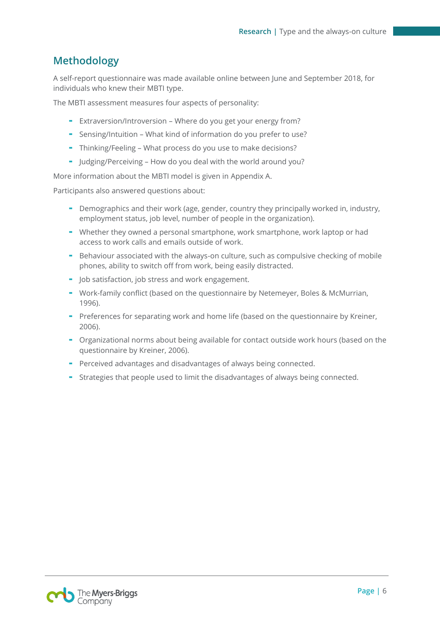### <span id="page-5-0"></span>**Methodology**

A self-report questionnaire was made available online between June and September 2018, for individuals who knew their MBTI type.

The MBTI assessment measures four aspects of personality:

- Extraversion/Introversion Where do you get your energy from?
- Sensing/Intuition What kind of information do you prefer to use?
- Thinking/Feeling What process do you use to make decisions?
- Judging/Perceiving How do you deal with the world around you?

More information about the MBTI model is given in Appendix A.

Participants also answered questions about:

- Demographics and their work (age, gender, country they principally worked in, industry, employment status, job level, number of people in the organization).
- Whether they owned a personal smartphone, work smartphone, work laptop or had access to work calls and emails outside of work.
- Behaviour associated with the always-on culture, such as compulsive checking of mobile phones, ability to switch off from work, being easily distracted.
- Job satisfaction, job stress and work engagement.
- Work-family conflict (based on the questionnaire by Netemeyer, Boles & McMurrian, 1996).
- Preferences for separating work and home life (based on the questionnaire by Kreiner, 2006).
- Organizational norms about being available for contact outside work hours (based on the questionnaire by Kreiner, 2006).
- Perceived advantages and disadvantages of always being connected.
- Strategies that people used to limit the disadvantages of always being connected.

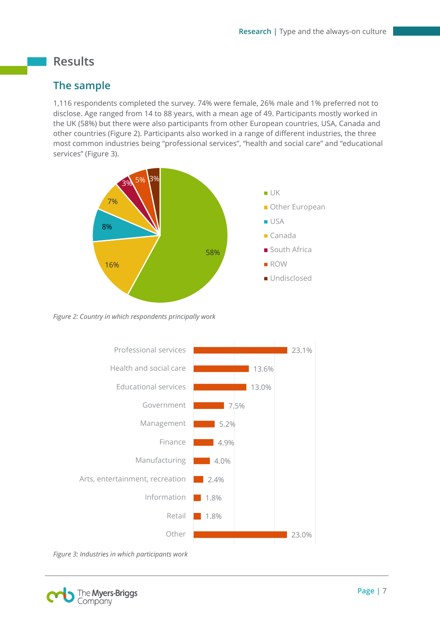# <span id="page-6-0"></span>**Results**

### <span id="page-6-1"></span>**The sample**

1,116 respondents completed the survey. 74% were female, 26% male and 1% preferred not to disclose. Age ranged from 14 to 88 years, with a mean age of 49. Participants mostly worked in the UK (58%) but there were also participants from other European countries, USA, Canada and other countries (Figure 2). Participants also worked in a range of different industries, the three most common industries being "professional services", "health and social care" and "educational services" (Figure 3).



*Figure 2: Country in which respondents principally work*



*Figure 3: Industries in which participants work*

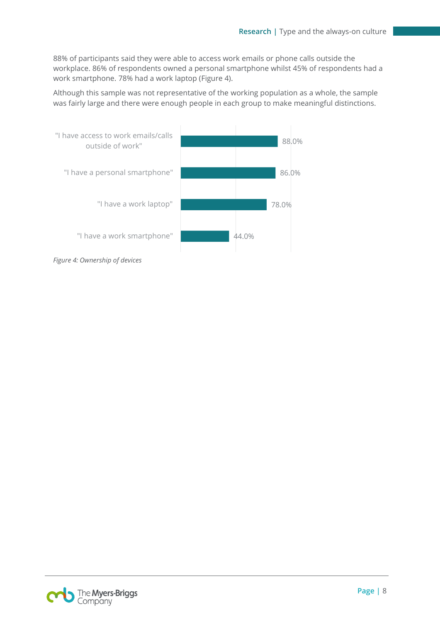88% of participants said they were able to access work emails or phone calls outside the workplace. 86% of respondents owned a personal smartphone whilst 45% of respondents had a work smartphone. 78% had a work laptop (Figure 4).

Although this sample was not representative of the working population as a whole, the sample was fairly large and there were enough people in each group to make meaningful distinctions.



*Figure 4: Ownership of devices*

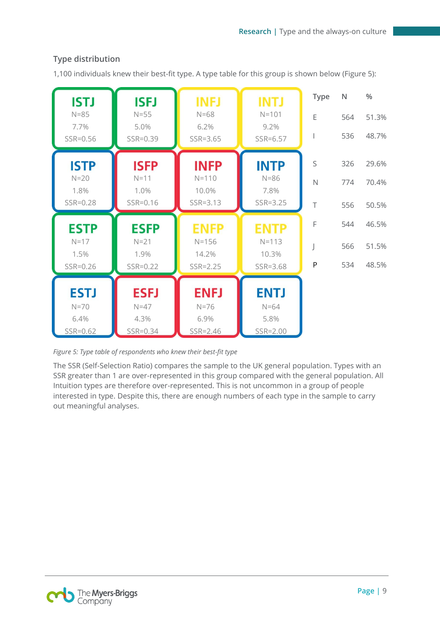| <b>ISTJ</b><br>$N = 85$ | <b>ISFJ</b><br>$N = 55$ | <b>INFJ</b><br>$N=68$ | <b>INTJ</b><br>$N = 101$ | <b>Type</b><br>E | N<br>564 | $\frac{0}{0}$<br>51.3% |
|-------------------------|-------------------------|-----------------------|--------------------------|------------------|----------|------------------------|
| 7.7%<br>SSR=0.56        | 5.0%<br>SSR=0.39        | 6.2%<br>SSR=3.65      | 9.2%<br>SSR=6.57         |                  | 536      | 48.7%                  |
| <b>ISTP</b>             | <b>ISFP</b>             | <b>INFP</b>           | <b>INTP</b>              | S                | 326      | 29.6%                  |
| $N=20$<br>1.8%          | $N=11$<br>1.0%          | $N = 110$<br>10.0%    | $N = 86$<br>7.8%         | $\mathbb N$      | 774      | 70.4%                  |
| SSR=0.28                | SSR=0.16                | SSR=3.13              | SSR=3.25                 | T                | 556      | 50.5%                  |
|                         |                         |                       |                          |                  |          |                        |
| <b>ESTP</b>             | <b>ESFP</b>             | <b>ENFP</b>           | <b>ENTP</b>              | F                | 544      | 46.5%                  |
| $N=17$<br>1.5%          | $N=21$<br>1.9%          | $N = 156$<br>14.2%    | $N = 113$<br>10.3%       |                  | 566      | 51.5%                  |
| SSR=0.26                | SSR=0.22                | SSR=2.25              | SSR=3.68                 | P                | 534      | 48.5%                  |
|                         |                         |                       |                          |                  |          |                        |
| <b>ESTJ</b>             | <b>ESFJ</b>             | <b>ENFJ</b>           | <b>ENTJ</b>              |                  |          |                        |
| $N=70$<br>6.4%          | $N=47$<br>4.3%          | $N=76$<br>6.9%        | $N=64$<br>5.8%           |                  |          |                        |

### **Type distribution**

1,100 individuals knew their best-fit type. A type table for this group is shown below (Figure 5):

*Figure 5: Type table of respondents who knew their best-fit type* 

The SSR (Self-Selection Ratio) compares the sample to the UK general population. Types with an SSR greater than 1 are over-represented in this group compared with the general population. All Intuition types are therefore over-represented. This is not uncommon in a group of people interested in type. Despite this, there are enough numbers of each type in the sample to carry out meaningful analyses.

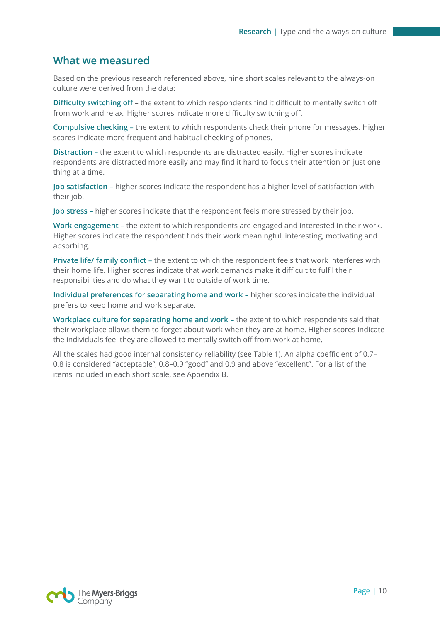### <span id="page-9-0"></span>**What we measured**

Based on the previous research referenced above, nine short scales relevant to the always-on culture were derived from the data:

**Difficulty switching off –** the extent to which respondents find it difficult to mentally switch off from work and relax. Higher scores indicate more difficulty switching off.

**Compulsive checking –** the extent to which respondents check their phone for messages. Higher scores indicate more frequent and habitual checking of phones.

**Distraction –** the extent to which respondents are distracted easily. Higher scores indicate respondents are distracted more easily and may find it hard to focus their attention on just one thing at a time.

**Job satisfaction –** higher scores indicate the respondent has a higher level of satisfaction with their job.

**Job stress –** higher scores indicate that the respondent feels more stressed by their job.

**Work engagement –** the extent to which respondents are engaged and interested in their work. Higher scores indicate the respondent finds their work meaningful, interesting, motivating and absorbing.

**Private life/ family conflict –** the extent to which the respondent feels that work interferes with their home life. Higher scores indicate that work demands make it difficult to fulfil their responsibilities and do what they want to outside of work time.

**Individual preferences for separating home and work –** higher scores indicate the individual prefers to keep home and work separate.

**Workplace culture for separating home and work –** the extent to which respondents said that their workplace allows them to forget about work when they are at home. Higher scores indicate the individuals feel they are allowed to mentally switch off from work at home.

All the scales had good internal consistency reliability (see Table 1). An alpha coefficient of 0.7– 0.8 is considered "acceptable", 0.8–0.9 "good" and 0.9 and above "excellent". For a list of the items included in each short scale, see Appendix B.

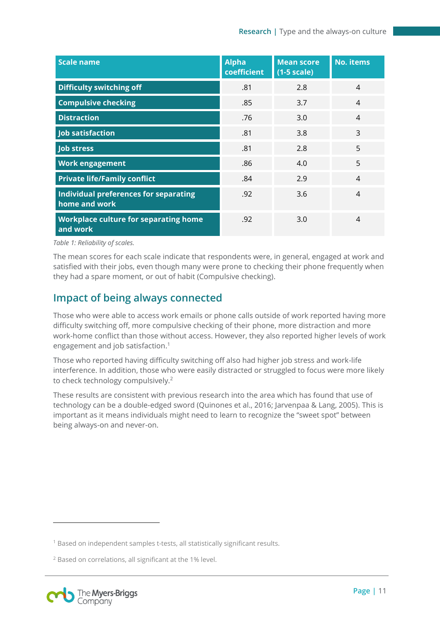| <b>Scale name</b>                                      | <b>Alpha</b><br>coefficient | <b>Mean score</b><br>$(1-5 scale)$ | <b>No. items</b> |
|--------------------------------------------------------|-----------------------------|------------------------------------|------------------|
| <b>Difficulty switching off</b>                        | .81                         | 2.8                                | 4                |
| <b>Compulsive checking</b>                             | .85                         | 3.7                                | 4                |
| <b>Distraction</b>                                     | .76                         | 3.0                                | 4                |
| Job satisfaction                                       | .81                         | 3.8                                | 3                |
| <b>Job stress</b>                                      | .81                         | 2.8                                | 5                |
| <b>Work engagement</b>                                 | .86                         | 4.0                                | 5                |
| <b>Private life/Family conflict</b>                    | .84                         | 2.9                                | 4                |
| Individual preferences for separating<br>home and work | .92                         | 3.6                                | 4                |
| Workplace culture for separating home<br>and work      | .92                         | 3.0                                | $\overline{4}$   |

*Table 1: Reliability of scales.*

The mean scores for each scale indicate that respondents were, in general, engaged at work and satisfied with their jobs, even though many were prone to checking their phone frequently when they had a spare moment, or out of habit (Compulsive checking).

### <span id="page-10-0"></span>**Impact of being always connected**

Those who were able to access work emails or phone calls outside of work reported having more difficulty switching off, more compulsive checking of their phone, more distraction and more work-home conflict than those without access. However, they also reported higher levels of work engagement and job satisfaction. 1

Those who reported having difficulty switching off also had higher job stress and work-life interference. In addition, those who were easily distracted or struggled to focus were more likely to check technology compulsively.<sup>2</sup>

These results are consistent with previous research into the area which has found that use of technology can be a double-edged sword (Quinones et al., 2016; Jarvenpaa & Lang, 2005). This is important as it means individuals might need to learn to recognize the "sweet spot" between being always-on and never-on.

 $\overline{a}$ 

<sup>1</sup> Based on independent samples t-tests, all statistically significant results.

<sup>2</sup> Based on correlations, all significant at the 1% level.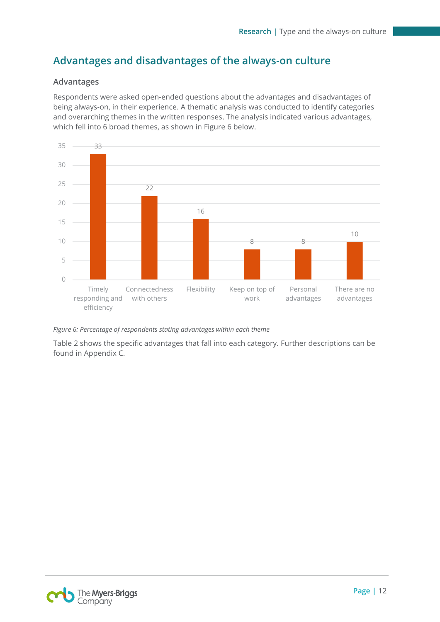### <span id="page-11-0"></span>**Advantages and disadvantages of the always-on culture**

### **Advantages**

Respondents were asked open-ended questions about the advantages and disadvantages of being always-on, in their experience. A thematic analysis was conducted to identify categories and overarching themes in the written responses. The analysis indicated various advantages, which fell into 6 broad themes, as shown in Figure 6 below.



*Figure 6: Percentage of respondents stating advantages within each theme*

Table 2 shows the specific advantages that fall into each category. Further descriptions can be found in Appendix C.

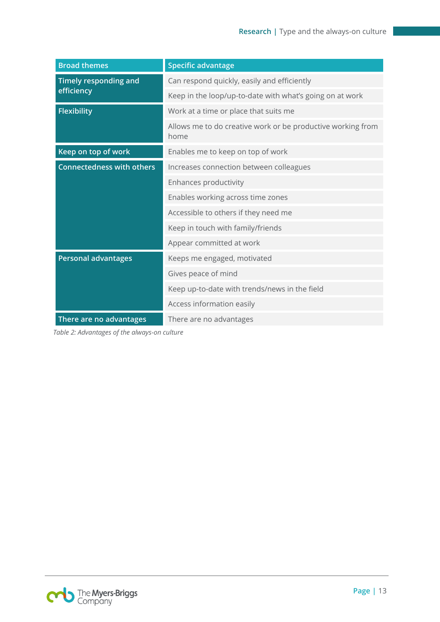| <b>Broad themes</b>              | <b>Specific advantage</b>                                           |  |
|----------------------------------|---------------------------------------------------------------------|--|
| <b>Timely responding and</b>     | Can respond quickly, easily and efficiently                         |  |
| efficiency                       | Keep in the loop/up-to-date with what's going on at work            |  |
| <b>Flexibility</b>               | Work at a time or place that suits me                               |  |
|                                  | Allows me to do creative work or be productive working from<br>home |  |
| Keep on top of work              | Enables me to keep on top of work                                   |  |
| <b>Connectedness with others</b> | Increases connection between colleagues                             |  |
|                                  | Enhances productivity                                               |  |
|                                  | Enables working across time zones                                   |  |
|                                  | Accessible to others if they need me                                |  |
|                                  | Keep in touch with family/friends                                   |  |
|                                  | Appear committed at work                                            |  |
| <b>Personal advantages</b>       | Keeps me engaged, motivated                                         |  |
|                                  | Gives peace of mind                                                 |  |
|                                  | Keep up-to-date with trends/news in the field                       |  |
|                                  | Access information easily                                           |  |
| There are no advantages          | There are no advantages                                             |  |

*Table 2: Advantages of the always-on culture*

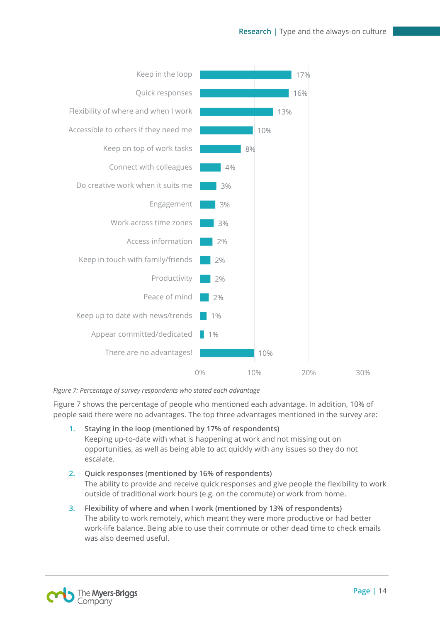

*Figure 7: Percentage of survey respondents who stated each advantage*

Figure 7 shows the percentage of people who mentioned each advantage. In addition, 10% of people said there were no advantages. The top three advantages mentioned in the survey are:

- **1. Staying in the loop (mentioned by 17% of respondents)** Keeping up-to-date with what is happening at work and not missing out on opportunities, as well as being able to act quickly with any issues so they do not escalate.
- **2. Quick responses (mentioned by 16% of respondents)** The ability to provide and receive quick responses and give people the flexibility to work outside of traditional work hours (e.g. on the commute) or work from home.
- **3. Flexibility of where and when I work (mentioned by 13% of respondents)** The ability to work remotely, which meant they were more productive or had better work-life balance. Being able to use their commute or other dead time to check emails was also deemed useful.

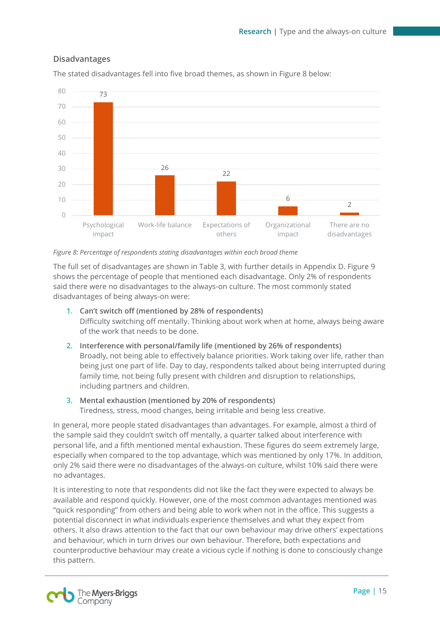### **Disadvantages**



The stated disadvantages fell into five broad themes, as shown in Figure 8 below:

#### *Figure 8: Percentage of respondents stating disadvantages within each broad theme*

The full set of disadvantages are shown in Table 3, with further details in Appendix D. Figure 9 shows the percentage of people that mentioned each disadvantage. Only 2% of respondents said there were no disadvantages to the always-on culture. The most commonly stated disadvantages of being always-on were:

- **1. Can't switch off (mentioned by 28% of respondents)** Difficulty switching off mentally. Thinking about work when at home, always being aware of the work that needs to be done.
- **2. Interference with personal/family life (mentioned by 26% of respondents)** Broadly, not being able to effectively balance priorities. Work taking over life, rather than being just one part of life. Day to day, respondents talked about being interrupted during family time, not being fully present with children and disruption to relationships, including partners and children.
- **3. Mental exhaustion (mentioned by 20% of respondents)** Tiredness, stress, mood changes, being irritable and being less creative.

In general, more people stated disadvantages than advantages. For example, almost a third of the sample said they couldn't switch off mentally, a quarter talked about interference with personal life, and a fifth mentioned mental exhaustion. These figures do seem extremely large, especially when compared to the top advantage, which was mentioned by only 17%. In addition, only 2% said there were no disadvantages of the always-on culture, whilst 10% said there were no advantages.

It is interesting to note that respondents did not like the fact they were expected to always be available and respond quickly. However, one of the most common advantages mentioned was "quick responding" from others and being able to work when not in the office. This suggests a potential disconnect in what individuals experience themselves and what they expect from others. It also draws attention to the fact that our own behaviour may drive others' expectations and behaviour, which in turn drives our own behaviour. Therefore, both expectations and counterproductive behaviour may create a vicious cycle if nothing is done to consciously change this pattern.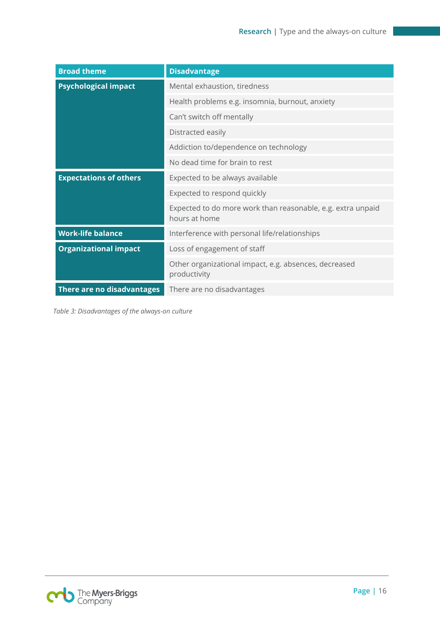| <b>Broad theme</b>            | <b>Disadvantage</b>                                                          |  |
|-------------------------------|------------------------------------------------------------------------------|--|
| <b>Psychological impact</b>   | Mental exhaustion, tiredness                                                 |  |
|                               | Health problems e.g. insomnia, burnout, anxiety                              |  |
|                               | Can't switch off mentally                                                    |  |
|                               | Distracted easily                                                            |  |
|                               | Addiction to/dependence on technology                                        |  |
|                               | No dead time for brain to rest                                               |  |
| <b>Expectations of others</b> | Expected to be always available                                              |  |
|                               | Expected to respond quickly                                                  |  |
|                               | Expected to do more work than reasonable, e.g. extra unpaid<br>hours at home |  |
| <b>Work-life balance</b>      | Interference with personal life/relationships                                |  |
| <b>Organizational impact</b>  | Loss of engagement of staff                                                  |  |
|                               | Other organizational impact, e.g. absences, decreased<br>productivity        |  |
| There are no disadvantages    | There are no disadvantages                                                   |  |

*Table 3: Disadvantages of the always-on culture*

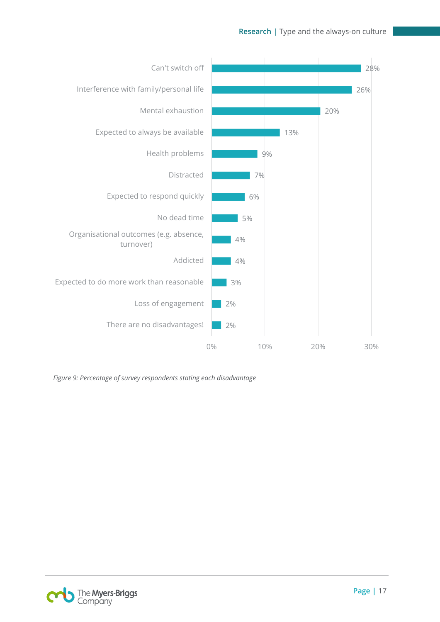

*Figure 9: Percentage of survey respondents stating each disadvantage*

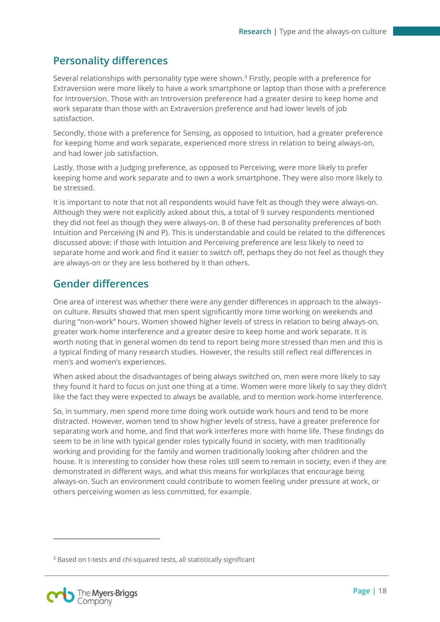### <span id="page-17-0"></span>**Personality differences**

Several relationships with personality type were shown.<sup>3</sup> Firstly, people with a preference for Extraversion were more likely to have a work smartphone or laptop than those with a preference for Introversion. Those with an Introversion preference had a greater desire to keep home and work separate than those with an Extraversion preference and had lower levels of job satisfaction.

Secondly, those with a preference for Sensing, as opposed to Intuition, had a greater preference for keeping home and work separate, experienced more stress in relation to being always-on, and had lower job satisfaction.

Lastly, those with a Judging preference, as opposed to Perceiving, were more likely to prefer keeping home and work separate and to own a work smartphone. They were also more likely to be stressed.

It is important to note that not all respondents would have felt as though they were always-on. Although they were not explicitly asked about this, a total of 9 survey respondents mentioned they did not feel as though they were always-on. 8 of these had personality preferences of both Intuition and Perceiving (N and P). This is understandable and could be related to the differences discussed above: if those with Intuition and Perceiving preference are less likely to need to separate home and work and find it easier to switch off, perhaps they do not feel as though they are always-on or they are less bothered by it than others.

### <span id="page-17-1"></span>**Gender differences**

One area of interest was whether there were any gender differences in approach to the alwayson culture. Results showed that men spent significantly more time working on weekends and during "non-work" hours. Women showed higher levels of stress in relation to being always-on, greater work-home interference and a greater desire to keep home and work separate. It is worth noting that in general women do tend to report being more stressed than men and this is a typical finding of many research studies. However, the results still reflect real differences in men's and women's experiences.

When asked about the disadvantages of being always switched on, men were more likely to say they found it hard to focus on just one thing at a time. Women were more likely to say they didn't like the fact they were expected to always be available, and to mention work-home interference.

So, in summary, men spend more time doing work outside work hours and tend to be more distracted. However, women tend to show higher levels of stress, have a greater preference for separating work and home, and find that work interferes more with home life. These findings do seem to be in line with typical gender roles typically found in society, with men traditionally working and providing for the family and women traditionally looking after children and the house. It is interesting to consider how these roles still seem to remain in society, even if they are demonstrated in different ways, and what this means for workplaces that encourage being always-on. Such an environment could contribute to women feeling under pressure at work, or others perceiving women as less committed, for example.

<sup>&</sup>lt;sup>3</sup> Based on t-tests and chi-squared tests, all statistically significant



 $\overline{a}$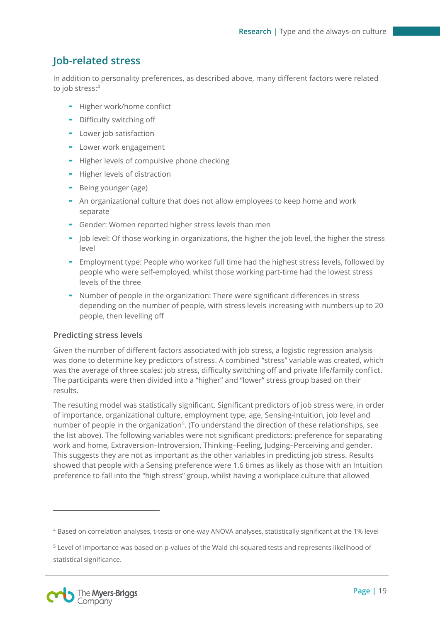### <span id="page-18-0"></span>**Job-related stress**

In addition to personality preferences, as described above, many different factors were related to job stress: 4

- Higher work/home conflict
- Difficulty switching off
- Lower job satisfaction
- Lower work engagement
- Higher levels of compulsive phone checking
- Higher levels of distraction
- Being younger (age)
- An organizational culture that does not allow employees to keep home and work separate
- Gender: Women reported higher stress levels than men
- Job level: Of those working in organizations, the higher the job level, the higher the stress level
- Employment type: People who worked full time had the highest stress levels, followed by people who were self-employed, whilst those working part-time had the lowest stress levels of the three
- Number of people in the organization: There were significant differences in stress depending on the number of people, with stress levels increasing with numbers up to 20 people, then levelling off

### **Predicting stress levels**

Given the number of different factors associated with job stress, a logistic regression analysis was done to determine key predictors of stress. A combined "stress" variable was created, which was the average of three scales: job stress, difficulty switching off and private life/family conflict. The participants were then divided into a "higher" and "lower" stress group based on their results.

The resulting model was statistically significant. Significant predictors of job stress were, in order of importance, organizational culture, employment type, age, Sensing-Intuition, job level and number of people in the organization<sup>5</sup>. (To understand the direction of these relationships, see the list above). The following variables were not significant predictors: preference for separating work and home, Extraversion–Introversion, Thinking–Feeling, Judging–Perceiving and gender. This suggests they are not as important as the other variables in predicting job stress. Results showed that people with a Sensing preference were 1.6 times as likely as those with an Intuition preference to fall into the "high stress" group, whilst having a workplace culture that allowed

 $\overline{a}$ 

<sup>4</sup> Based on correlation analyses, t-tests or one-way ANOVA analyses, statistically significant at the 1% level

<sup>5</sup> Level of importance was based on p-values of the Wald chi-squared tests and represents likelihood of statistical significance.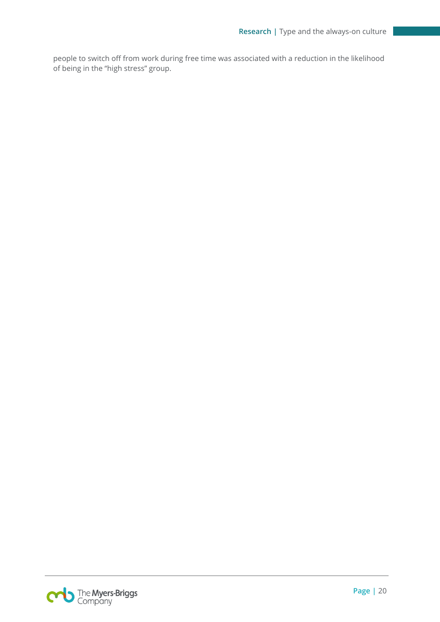people to switch off from work during free time was associated with a reduction in the likelihood of being in the "high stress" group.

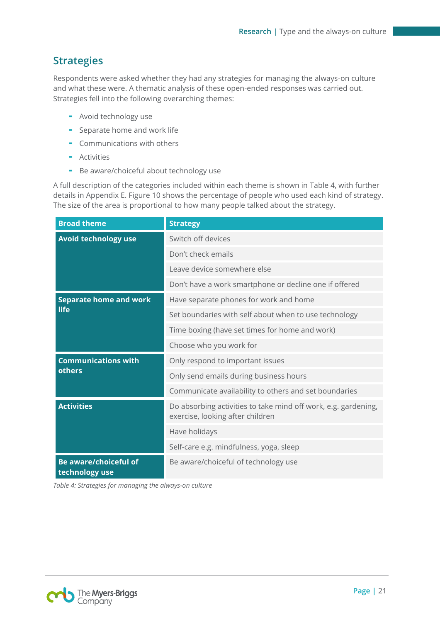### <span id="page-20-0"></span>**Strategies**

Respondents were asked whether they had any strategies for managing the always-on culture and what these were. A thematic analysis of these open-ended responses was carried out. Strategies fell into the following overarching themes:

- Avoid technology use
- Separate home and work life
- Communications with others
- **-** Activities
- Be aware/choiceful about technology use

A full description of the categories included within each theme is shown in Table 4, with further details in Appendix E. Figure 10 shows the percentage of people who used each kind of strategy. The size of the area is proportional to how many people talked about the strategy.

| <b>Broad theme</b>                      | <b>Strategy</b>                                                                                    |
|-----------------------------------------|----------------------------------------------------------------------------------------------------|
| Avoid technology use                    | Switch off devices                                                                                 |
|                                         | Don't check emails                                                                                 |
|                                         | Leave device somewhere else                                                                        |
|                                         | Don't have a work smartphone or decline one if offered                                             |
| <b>Separate home and work</b>           | Have separate phones for work and home                                                             |
| life                                    | Set boundaries with self about when to use technology                                              |
|                                         | Time boxing (have set times for home and work)                                                     |
|                                         | Choose who you work for                                                                            |
| <b>Communications with</b>              | Only respond to important issues                                                                   |
| others                                  | Only send emails during business hours                                                             |
|                                         | Communicate availability to others and set boundaries                                              |
| <b>Activities</b>                       | Do absorbing activities to take mind off work, e.g. gardening,<br>exercise, looking after children |
|                                         | Have holidays                                                                                      |
|                                         | Self-care e.g. mindfulness, yoga, sleep                                                            |
| Be aware/choiceful of<br>technology use | Be aware/choiceful of technology use                                                               |

*Table 4: Strategies for managing the always-on culture*

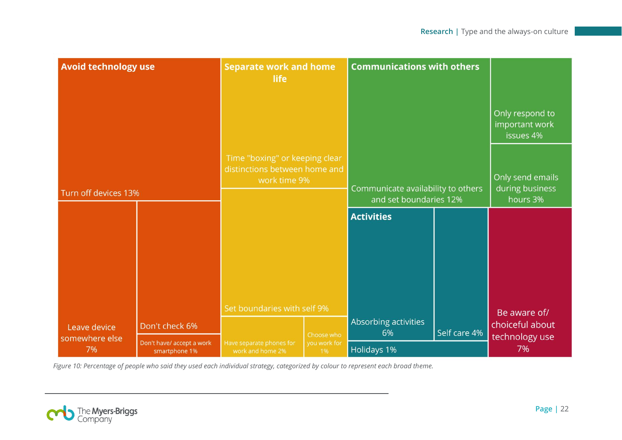| <b>Avoid technology use</b>          |                                                              | <b>Separate work and home</b><br>life                                           |                                  | <b>Communications with others</b>                            |              |                                                 |
|--------------------------------------|--------------------------------------------------------------|---------------------------------------------------------------------------------|----------------------------------|--------------------------------------------------------------|--------------|-------------------------------------------------|
|                                      |                                                              |                                                                                 |                                  |                                                              |              | Only respond to<br>important work<br>issues 4%  |
| Turn off devices 13%                 |                                                              | Time "boxing" or keeping clear<br>distinctions between home and<br>work time 9% |                                  | Communicate availability to others<br>and set boundaries 12% |              | Only send emails<br>during business<br>hours 3% |
|                                      |                                                              |                                                                                 |                                  | <b>Activities</b>                                            |              |                                                 |
|                                      |                                                              |                                                                                 |                                  |                                                              |              |                                                 |
|                                      |                                                              | Set boundaries with self 9%                                                     |                                  | Absorbing activities                                         |              | Be aware of/<br>choiceful about                 |
| Leave device<br>somewhere else<br>7% | Don't check 6%<br>Don't have/ accept a work<br>smartphone 1% | Have separate phones for<br>work and home 2%                                    | Choose who<br>you work for<br>1% | 6%<br><b>Holidays 1%</b>                                     | Self care 4% | technology use<br>7%                            |

*Figure 10: Percentage of people who said they used each individual strategy, categorized by colour to represent each broad theme.*

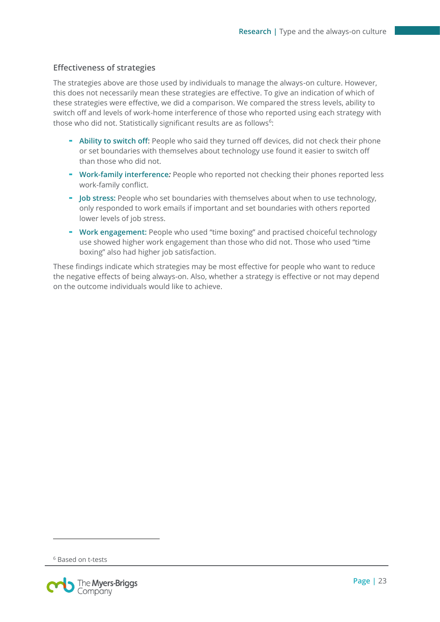#### **Effectiveness of strategies**

The strategies above are those used by individuals to manage the always-on culture. However, this does not necessarily mean these strategies are effective. To give an indication of which of these strategies were effective, we did a comparison. We compared the stress levels, ability to switch off and levels of work-home interference of those who reported using each strategy with those who did not. Statistically significant results are as follows<sup>6</sup>:

- **Ability to switch off:** People who said they turned off devices, did not check their phone or set boundaries with themselves about technology use found it easier to switch off than those who did not.
- **Work-family interference***:* People who reported not checking their phones reported less work-family conflict.
- **Job stress:** People who set boundaries with themselves about when to use technology, only responded to work emails if important and set boundaries with others reported lower levels of job stress.
- **Work engagement:** People who used "time boxing" and practised choiceful technology use showed higher work engagement than those who did not. Those who used "time boxing" also had higher job satisfaction.

These findings indicate which strategies may be most effective for people who want to reduce the negative effects of being always-on. Also, whether a strategy is effective or not may depend on the outcome individuals would like to achieve.

 $\overline{a}$ 

<sup>6</sup> Based on t-tests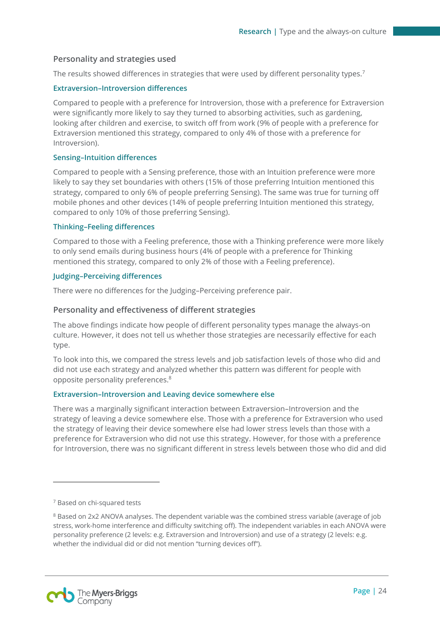#### **Personality and strategies used**

The results showed differences in strategies that were used by different personality types.<sup>7</sup>

#### **Extraversion–Introversion differences**

Compared to people with a preference for Introversion, those with a preference for Extraversion were significantly more likely to say they turned to absorbing activities, such as gardening, looking after children and exercise, to switch off from work (9% of people with a preference for Extraversion mentioned this strategy, compared to only 4% of those with a preference for Introversion).

#### **Sensing–Intuition differences**

Compared to people with a Sensing preference, those with an Intuition preference were more likely to say they set boundaries with others (15% of those preferring Intuition mentioned this strategy, compared to only 6% of people preferring Sensing). The same was true for turning off mobile phones and other devices (14% of people preferring Intuition mentioned this strategy, compared to only 10% of those preferring Sensing).

#### **Thinking–Feeling differences**

Compared to those with a Feeling preference, those with a Thinking preference were more likely to only send emails during business hours (4% of people with a preference for Thinking mentioned this strategy, compared to only 2% of those with a Feeling preference).

#### **Judging–Perceiving differences**

There were no differences for the Judging–Perceiving preference pair.

#### **Personality and effectiveness of different strategies**

The above findings indicate how people of different personality types manage the always-on culture. However, it does not tell us whether those strategies are necessarily effective for each type.

To look into this, we compared the stress levels and job satisfaction levels of those who did and did not use each strategy and analyzed whether this pattern was different for people with opposite personality preferences.<sup>8</sup>

#### **Extraversion–Introversion and Leaving device somewhere else**

There was a marginally significant interaction between Extraversion–Introversion and the strategy of leaving a device somewhere else. Those with a preference for Extraversion who used the strategy of leaving their device somewhere else had lower stress levels than those with a preference for Extraversion who did not use this strategy. However, for those with a preference for Introversion, there was no significant different in stress levels between those who did and did

 $\overline{a}$ 



<sup>7</sup> Based on chi-squared tests

<sup>8</sup> Based on 2x2 ANOVA analyses. The dependent variable was the combined stress variable (average of job stress, work-home interference and difficulty switching off). The independent variables in each ANOVA were personality preference (2 levels: e.g. Extraversion and Introversion) and use of a strategy (2 levels: e.g. whether the individual did or did not mention "turning devices off").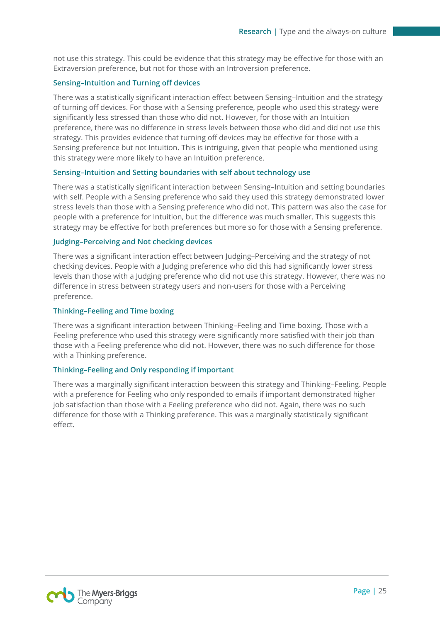not use this strategy. This could be evidence that this strategy may be effective for those with an Extraversion preference, but not for those with an Introversion preference.

#### **Sensing–Intuition and Turning off devices**

There was a statistically significant interaction effect between Sensing–Intuition and the strategy of turning off devices. For those with a Sensing preference, people who used this strategy were significantly less stressed than those who did not. However, for those with an Intuition preference, there was no difference in stress levels between those who did and did not use this strategy. This provides evidence that turning off devices may be effective for those with a Sensing preference but not Intuition. This is intriguing, given that people who mentioned using this strategy were more likely to have an Intuition preference.

#### **Sensing–Intuition and Setting boundaries with self about technology use**

There was a statistically significant interaction between Sensing–Intuition and setting boundaries with self. People with a Sensing preference who said they used this strategy demonstrated lower stress levels than those with a Sensing preference who did not. This pattern was also the case for people with a preference for Intuition, but the difference was much smaller. This suggests this strategy may be effective for both preferences but more so for those with a Sensing preference.

#### **Judging–Perceiving and Not checking devices**

There was a significant interaction effect between Judging–Perceiving and the strategy of not checking devices. People with a Judging preference who did this had significantly lower stress levels than those with a Judging preference who did not use this strategy. However, there was no difference in stress between strategy users and non-users for those with a Perceiving preference.

#### **Thinking–Feeling and Time boxing**

There was a significant interaction between Thinking–Feeling and Time boxing. Those with a Feeling preference who used this strategy were significantly more satisfied with their job than those with a Feeling preference who did not. However, there was no such difference for those with a Thinking preference.

#### **Thinking–Feeling and Only responding if important**

There was a marginally significant interaction between this strategy and Thinking–Feeling. People with a preference for Feeling who only responded to emails if important demonstrated higher job satisfaction than those with a Feeling preference who did not. Again, there was no such difference for those with a Thinking preference. This was a marginally statistically significant effect.

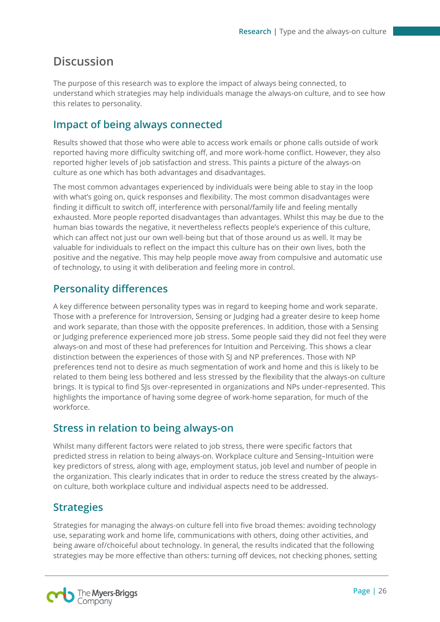# <span id="page-25-0"></span>**Discussion**

The purpose of this research was to explore the impact of always being connected, to understand which strategies may help individuals manage the always-on culture, and to see how this relates to personality.

### <span id="page-25-1"></span>**Impact of being always connected**

Results showed that those who were able to access work emails or phone calls outside of work reported having more difficulty switching off, and more work-home conflict. However, they also reported higher levels of job satisfaction and stress. This paints a picture of the always-on culture as one which has both advantages and disadvantages.

The most common advantages experienced by individuals were being able to stay in the loop with what's going on, quick responses and flexibility. The most common disadvantages were finding it difficult to switch off, interference with personal/family life and feeling mentally exhausted. More people reported disadvantages than advantages. Whilst this may be due to the human bias towards the negative, it nevertheless reflects people's experience of this culture, which can affect not just our own well-being but that of those around us as well. It may be valuable for individuals to reflect on the impact this culture has on their own lives, both the positive and the negative. This may help people move away from compulsive and automatic use of technology, to using it with deliberation and feeling more in control.

### <span id="page-25-2"></span>**Personality differences**

A key difference between personality types was in regard to keeping home and work separate. Those with a preference for Introversion, Sensing or Judging had a greater desire to keep home and work separate, than those with the opposite preferences. In addition, those with a Sensing or Judging preference experienced more job stress. Some people said they did not feel they were always-on and most of these had preferences for Intuition and Perceiving. This shows a clear distinction between the experiences of those with SJ and NP preferences. Those with NP preferences tend not to desire as much segmentation of work and home and this is likely to be related to them being less bothered and less stressed by the flexibility that the always-on culture brings. It is typical to find SJs over-represented in organizations and NPs under-represented. This highlights the importance of having some degree of work-home separation, for much of the workforce.

### <span id="page-25-3"></span>**Stress in relation to being always-on**

Whilst many different factors were related to job stress, there were specific factors that predicted stress in relation to being always-on. Workplace culture and Sensing–Intuition were key predictors of stress, along with age, employment status, job level and number of people in the organization. This clearly indicates that in order to reduce the stress created by the alwayson culture, both workplace culture and individual aspects need to be addressed.

### <span id="page-25-4"></span>**Strategies**

Strategies for managing the always-on culture fell into five broad themes: avoiding technology use, separating work and home life, communications with others, doing other activities, and being aware of/choiceful about technology. In general, the results indicated that the following strategies may be more effective than others: turning off devices, not checking phones, setting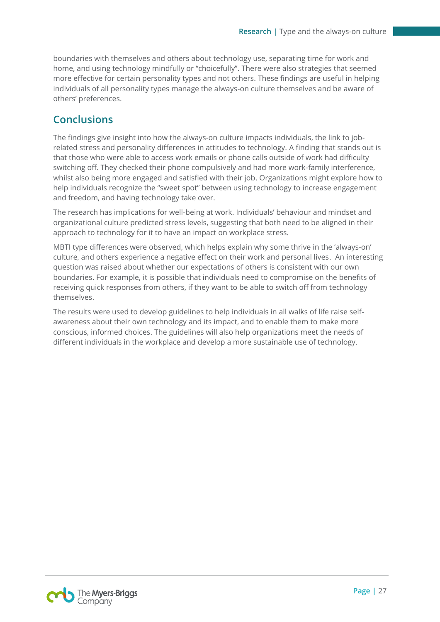boundaries with themselves and others about technology use, separating time for work and home, and using technology mindfully or "choicefully". There were also strategies that seemed more effective for certain personality types and not others. These findings are useful in helping individuals of all personality types manage the always-on culture themselves and be aware of others' preferences.

### <span id="page-26-0"></span>**Conclusions**

The findings give insight into how the always-on culture impacts individuals, the link to jobrelated stress and personality differences in attitudes to technology. A finding that stands out is that those who were able to access work emails or phone calls outside of work had difficulty switching off. They checked their phone compulsively and had more work-family interference, whilst also being more engaged and satisfied with their job. Organizations might explore how to help individuals recognize the "sweet spot" between using technology to increase engagement and freedom, and having technology take over.

The research has implications for well-being at work. Individuals' behaviour and mindset and organizational culture predicted stress levels, suggesting that both need to be aligned in their approach to technology for it to have an impact on workplace stress.

MBTI type differences were observed, which helps explain why some thrive in the 'always-on' culture, and others experience a negative effect on their work and personal lives. An interesting question was raised about whether our expectations of others is consistent with our own boundaries. For example, it is possible that individuals need to compromise on the benefits of receiving quick responses from others, if they want to be able to switch off from technology themselves.

The results were used to develop guidelines to help individuals in all walks of life raise selfawareness about their own technology and its impact, and to enable them to make more conscious, informed choices. The guidelines will also help organizations meet the needs of different individuals in the workplace and develop a more sustainable use of technology.

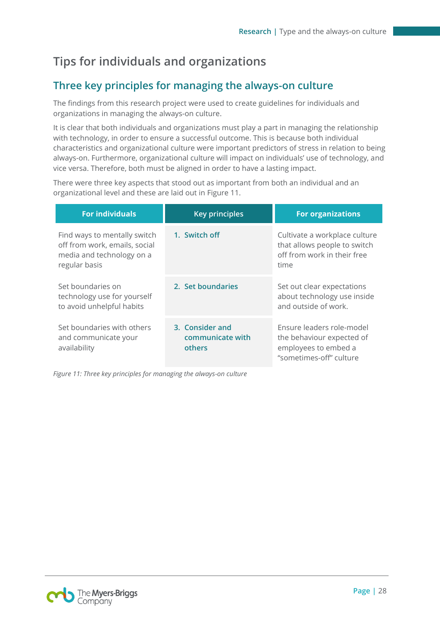# <span id="page-27-0"></span>**Tips for individuals and organizations**

### <span id="page-27-1"></span>**Three key principles for managing the always-on culture**

The findings from this research project were used to create guidelines for individuals and organizations in managing the always-on culture.

It is clear that both individuals and organizations must play a part in managing the relationship with technology, in order to ensure a successful outcome. This is because both individual characteristics and organizational culture were important predictors of stress in relation to being always-on. Furthermore, organizational culture will impact on individuals' use of technology, and vice versa. Therefore, both must be aligned in order to have a lasting impact.

There were three key aspects that stood out as important from both an individual and an organizational level and these are laid out in Figure 11.

| <b>For individuals</b>                                                                                      | <b>Key principles</b>                         | <b>For organizations</b>                                                                                  |
|-------------------------------------------------------------------------------------------------------------|-----------------------------------------------|-----------------------------------------------------------------------------------------------------------|
| Find ways to mentally switch<br>off from work, emails, social<br>media and technology on a<br>regular basis | 1. Switch off                                 | Cultivate a workplace culture<br>that allows people to switch<br>off from work in their free<br>time      |
| Set boundaries on<br>technology use for yourself<br>to avoid unhelpful habits                               | 2. Set boundaries                             | Set out clear expectations<br>about technology use inside<br>and outside of work.                         |
| Set boundaries with others<br>and communicate your<br>availability                                          | 3. Consider and<br>communicate with<br>others | Ensure leaders role-model<br>the behaviour expected of<br>employees to embed a<br>"sometimes-off" culture |

*Figure 11: Three key principles for managing the always-on culture*

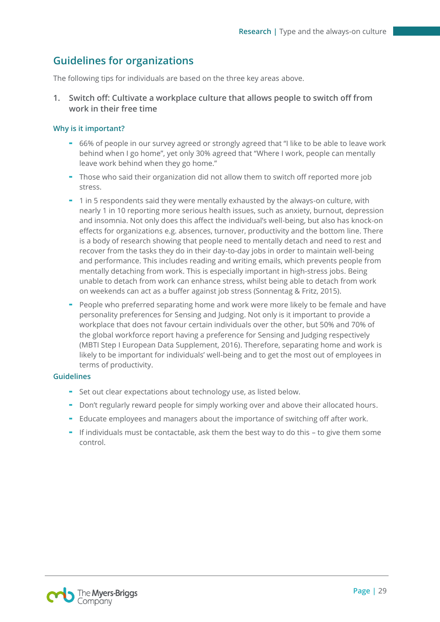### <span id="page-28-0"></span>**Guidelines for organizations**

The following tips for individuals are based on the three key areas above.

**1. Switch off: Cultivate a workplace culture that allows people to switch off from work in their free time**

#### **Why is it important?**

- 66% of people in our survey agreed or strongly agreed that "I like to be able to leave work behind when I go home", yet only 30% agreed that "Where I work, people can mentally leave work behind when they go home."
- Those who said their organization did not allow them to switch off reported more job stress.
- 1 in 5 respondents said they were mentally exhausted by the always-on culture, with nearly 1 in 10 reporting more serious health issues, such as anxiety, burnout, depression and insomnia. Not only does this affect the individual's well-being, but also has knock-on effects for organizations e.g. absences, turnover, productivity and the bottom line. There is a body of research showing that people need to mentally detach and need to rest and recover from the tasks they do in their day-to-day jobs in order to maintain well-being and performance. This includes reading and writing emails, which prevents people from mentally detaching from work. This is especially important in high-stress jobs. Being unable to detach from work can enhance stress, whilst being able to detach from work on weekends can act as a buffer against job stress (Sonnentag & Fritz, 2015).
- People who preferred separating home and work were more likely to be female and have personality preferences for Sensing and Judging. Not only is it important to provide a workplace that does not favour certain individuals over the other, but 50% and 70% of the global workforce report having a preference for Sensing and Judging respectively (MBTI Step I European Data Supplement, 2016). Therefore, separating home and work is likely to be important for individuals' well-being and to get the most out of employees in terms of productivity.

#### **Guidelines**

- Set out clear expectations about technology use, as listed below.
- Don't regularly reward people for simply working over and above their allocated hours.
- Educate employees and managers about the importance of switching off after work.
- If individuals must be contactable, ask them the best way to do this to give them some control.

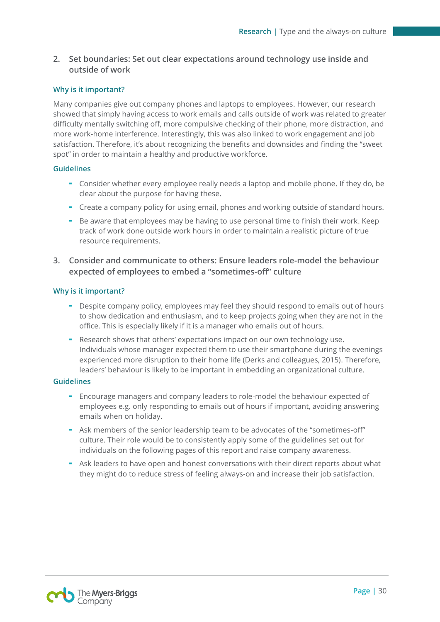### **2. Set boundaries: Set out clear expectations around technology use inside and outside of work**

#### **Why is it important?**

Many companies give out company phones and laptops to employees. However, our research showed that simply having access to work emails and calls outside of work was related to greater difficulty mentally switching off, more compulsive checking of their phone, more distraction, and more work-home interference. Interestingly, this was also linked to work engagement and job satisfaction. Therefore, it's about recognizing the benefits and downsides and finding the "sweet spot" in order to maintain a healthy and productive workforce.

#### **Guidelines**

- Consider whether every employee really needs a laptop and mobile phone. If they do, be clear about the purpose for having these.
- Create a company policy for using email, phones and working outside of standard hours.
- Be aware that employees may be having to use personal time to finish their work. Keep track of work done outside work hours in order to maintain a realistic picture of true resource requirements.
- **3. Consider and communicate to others: Ensure leaders role-model the behaviour expected of employees to embed a "sometimes-off" culture**

#### **Why is it important?**

- Despite company policy, employees may feel they should respond to emails out of hours to show dedication and enthusiasm, and to keep projects going when they are not in the office. This is especially likely if it is a manager who emails out of hours.
- Research shows that others' expectations impact on our own technology use. Individuals whose manager expected them to use their smartphone during the evenings experienced more disruption to their home life (Derks and colleagues, 2015). Therefore, leaders' behaviour is likely to be important in embedding an organizational culture.

#### **Guidelines**

- Encourage managers and company leaders to role-model the behaviour expected of employees e.g. only responding to emails out of hours if important, avoiding answering emails when on holiday.
- Ask members of the senior leadership team to be advocates of the "sometimes-off" culture. Their role would be to consistently apply some of the guidelines set out for individuals on the following pages of this report and raise company awareness.
- Ask leaders to have open and honest conversations with their direct reports about what they might do to reduce stress of feeling always-on and increase their job satisfaction.

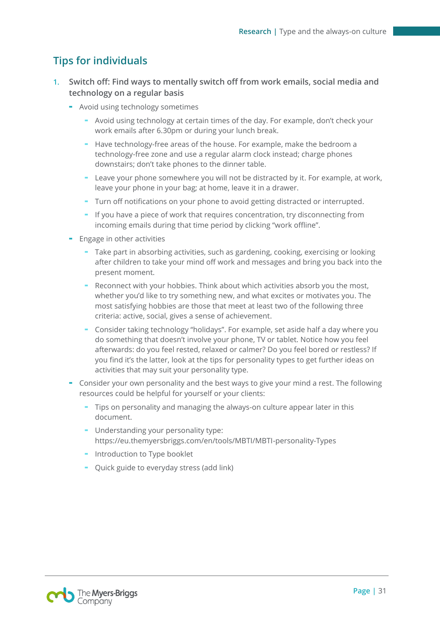### <span id="page-30-0"></span>**Tips for individuals**

- **1. Switch off: Find ways to mentally switch off from work emails, social media and technology on a regular basis**
	- Avoid using technology sometimes
		- Avoid using technology at certain times of the day. For example, don't check your work emails after 6.30pm or during your lunch break.
		- Have technology-free areas of the house. For example, make the bedroom a technology-free zone and use a regular alarm clock instead; charge phones downstairs; don't take phones to the dinner table.
		- Leave your phone somewhere you will not be distracted by it. For example, at work, leave your phone in your bag; at home, leave it in a drawer.
		- Turn off notifications on your phone to avoid getting distracted or interrupted.
		- If you have a piece of work that requires concentration, try disconnecting from incoming emails during that time period by clicking "work offline".
	- Engage in other activities
		- Take part in absorbing activities, such as gardening, cooking, exercising or looking after children to take your mind off work and messages and bring you back into the present moment.
		- Reconnect with your hobbies. Think about which activities absorb you the most, whether you'd like to try something new, and what excites or motivates you. The most satisfying hobbies are those that meet at least two of the following three criteria: active, social, gives a sense of achievement.
		- Consider taking technology "holidays". For example, set aside half a day where you do something that doesn't involve your phone, TV or tablet. Notice how you feel afterwards: do you feel rested, relaxed or calmer? Do you feel bored or restless? If you find it's the latter, look at the tips for personality types to get further ideas on activities that may suit your personality type.
	- Consider your own personality and the best ways to give your mind a rest. The following resources could be helpful for yourself or your clients:
		- Tips on personality and managing the always-on culture appear later in this document.
		- Understanding your personality type: <https://eu.themyersbriggs.com/en/tools/MBTI/MBTI-personality-Types>
		- Introduction to Type booklet
		- Quick guide to everyday stress (add link)

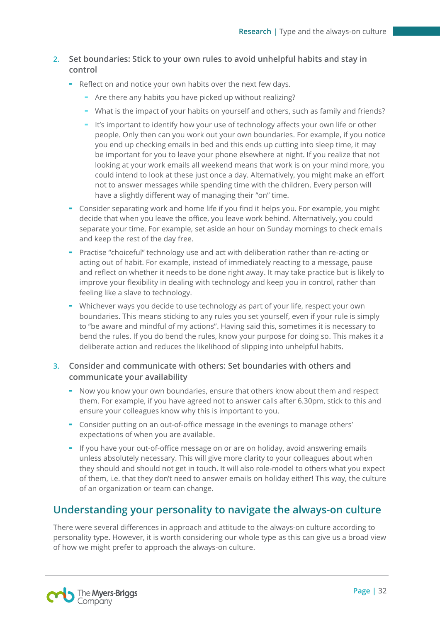### **2. Set boundaries: Stick to your own rules to avoid unhelpful habits and stay in control**

- Reflect on and notice your own habits over the next few days.
	- Are there any habits you have picked up without realizing?
	- What is the impact of your habits on yourself and others, such as family and friends?
	- It's important to identify how your use of technology affects your own life or other people. Only then can you work out your own boundaries. For example, if you notice you end up checking emails in bed and this ends up cutting into sleep time, it may be important for you to leave your phone elsewhere at night. If you realize that not looking at your work emails all weekend means that work is on your mind more, you could intend to look at these just once a day. Alternatively, you might make an effort not to answer messages while spending time with the children. Every person will have a slightly different way of managing their "on" time.
- Consider separating work and home life if you find it helps you. For example, you might decide that when you leave the office, you leave work behind. Alternatively, you could separate your time. For example, set aside an hour on Sunday mornings to check emails and keep the rest of the day free.
- Practise "choiceful" technology use and act with deliberation rather than re-acting or acting out of habit. For example, instead of immediately reacting to a message, pause and reflect on whether it needs to be done right away. It may take practice but is likely to improve your flexibility in dealing with technology and keep you in control, rather than feeling like a slave to technology.
- Whichever ways you decide to use technology as part of your life, respect your own boundaries. This means sticking to any rules you set yourself, even if your rule is simply to "be aware and mindful of my actions". Having said this, sometimes it is necessary to bend the rules. If you do bend the rules, know your purpose for doing so. This makes it a deliberate action and reduces the likelihood of slipping into unhelpful habits.

### **3. Consider and communicate with others: Set boundaries with others and communicate your availability**

- Now you know your own boundaries, ensure that others know about them and respect them. For example, if you have agreed not to answer calls after 6.30pm, stick to this and ensure your colleagues know why this is important to you.
- Consider putting on an out-of-office message in the evenings to manage others' expectations of when you are available.
- If you have your out-of-office message on or are on holiday, avoid answering emails unless absolutely necessary. This will give more clarity to your colleagues about when they should and should not get in touch. It will also role-model to others what you expect of them, i.e. that they don't need to answer emails on holiday either! This way, the culture of an organization or team can change.

### <span id="page-31-0"></span>**Understanding your personality to navigate the always-on culture**

There were several differences in approach and attitude to the always-on culture according to personality type. However, it is worth considering our whole type as this can give us a broad view of how we might prefer to approach the always-on culture.

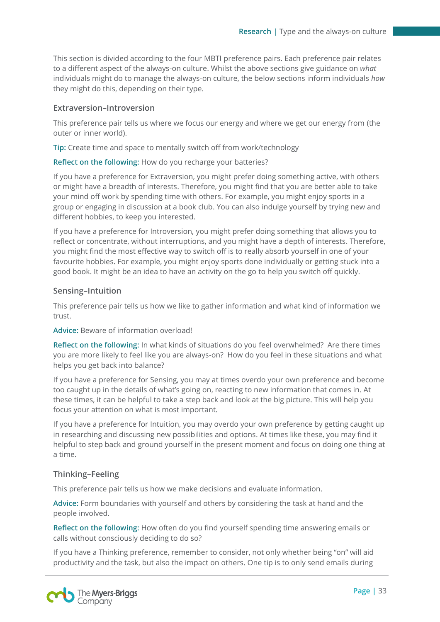This section is divided according to the four MBTI preference pairs. Each preference pair relates to a different aspect of the always-on culture. Whilst the above sections give guidance on *what* individuals might do to manage the always-on culture, the below sections inform individuals *how*  they might do this, depending on their type.

#### **Extraversion–Introversion**

This preference pair tells us where we focus our energy and where we get our energy from (the outer or inner world).

**Tip:** Create time and space to mentally switch off from work/technology

#### **Reflect on the following:** How do you recharge your batteries?

If you have a preference for Extraversion, you might prefer doing something active, with others or might have a breadth of interests. Therefore, you might find that you are better able to take your mind off work by spending time with others. For example, you might enjoy sports in a group or engaging in discussion at a book club. You can also indulge yourself by trying new and different hobbies, to keep you interested.

If you have a preference for Introversion, you might prefer doing something that allows you to reflect or concentrate, without interruptions, and you might have a depth of interests. Therefore, you might find the most effective way to switch off is to really absorb yourself in one of your favourite hobbies. For example, you might enjoy sports done individually or getting stuck into a good book. It might be an idea to have an activity on the go to help you switch off quickly.

#### **Sensing–Intuition**

This preference pair tells us how we like to gather information and what kind of information we trust.

#### **Advice:** Beware of information overload!

**Reflect on the following:** In what kinds of situations do you feel overwhelmed? Are there times you are more likely to feel like you are always-on? How do you feel in these situations and what helps you get back into balance?

If you have a preference for Sensing, you may at times overdo your own preference and become too caught up in the details of what's going on, reacting to new information that comes in. At these times, it can be helpful to take a step back and look at the big picture. This will help you focus your attention on what is most important.

If you have a preference for Intuition, you may overdo your own preference by getting caught up in researching and discussing new possibilities and options. At times like these, you may find it helpful to step back and ground yourself in the present moment and focus on doing one thing at a time.

#### **Thinking–Feeling**

This preference pair tells us how we make decisions and evaluate information.

**Advice:** Form boundaries with yourself and others by considering the task at hand and the people involved.

**Reflect on the following:** How often do you find yourself spending time answering emails or calls without consciously deciding to do so?

If you have a Thinking preference, remember to consider, not only whether being "on" will aid productivity and the task, but also the impact on others. One tip is to only send emails during

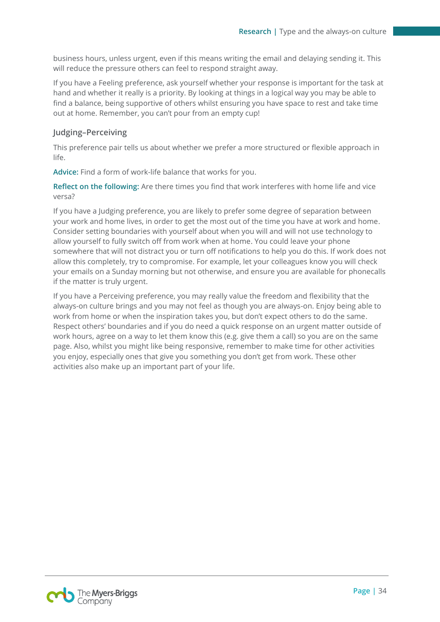business hours, unless urgent, even if this means writing the email and delaying sending it. This will reduce the pressure others can feel to respond straight away.

If you have a Feeling preference, ask yourself whether your response is important for the task at hand and whether it really is a priority. By looking at things in a logical way you may be able to find a balance, being supportive of others whilst ensuring you have space to rest and take time out at home. Remember, you can't pour from an empty cup!

#### **Judging–Perceiving**

This preference pair tells us about whether we prefer a more structured or flexible approach in life.

**Advice:** Find a form of work-life balance that works for you.

**Reflect on the following:** Are there times you find that work interferes with home life and vice versa?

If you have a Judging preference, you are likely to prefer some degree of separation between your work and home lives, in order to get the most out of the time you have at work and home. Consider setting boundaries with yourself about when you will and will not use technology to allow yourself to fully switch off from work when at home. You could leave your phone somewhere that will not distract you or turn off notifications to help you do this. If work does not allow this completely, try to compromise. For example, let your colleagues know you will check your emails on a Sunday morning but not otherwise, and ensure you are available for phonecalls if the matter is truly urgent.

If you have a Perceiving preference, you may really value the freedom and flexibility that the always-on culture brings and you may not feel as though you are always-on. Enjoy being able to work from home or when the inspiration takes you, but don't expect others to do the same. Respect others' boundaries and if you do need a quick response on an urgent matter outside of work hours, agree on a way to let them know this (e.g. give them a call) so you are on the same page. Also, whilst you might like being responsive, remember to make time for other activities you enjoy, especially ones that give you something you don't get from work. These other activities also make up an important part of your life.

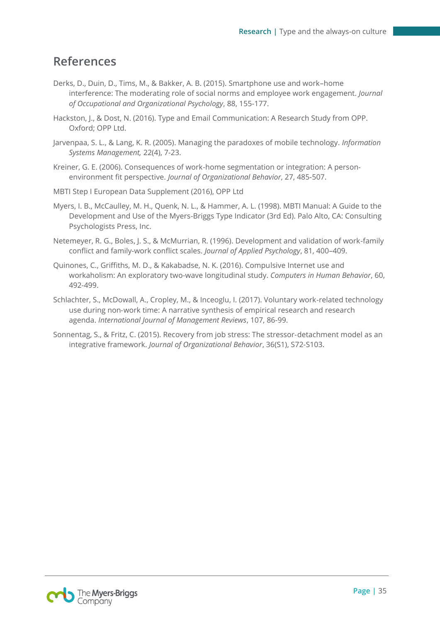### <span id="page-34-0"></span>**References**

- Derks, D., Duin, D., Tims, M., & Bakker, A. B. (2015). Smartphone use and work–home interference: The moderating role of social norms and employee work engagement. *Journal of Occupational and Organizational Psychology*, 88, 155-177.
- Hackston, J., & Dost, N. (2016). Type and Email Communication: A Research Study from OPP. Oxford; OPP Ltd.
- Jarvenpaa, S. L., & Lang, K. R. (2005). Managing the paradoxes of mobile technology. *Information Systems Management,* 22(4), 7-23.
- Kreiner, G. E. (2006). Consequences of work‐home segmentation or integration: A person‐ environment fit perspective. *Journal of Organizational Behavior*, 27, 485-507.
- MBTI Step I European Data Supplement (2016), OPP Ltd
- Myers, I. B., McCaulley, M. H., Quenk, N. L., & Hammer, A. L. (1998). MBTI Manual: A Guide to the Development and Use of the Myers-Briggs Type Indicator (3rd Ed). Palo Alto, CA: Consulting Psychologists Press, Inc.
- Netemeyer, R. G., Boles, J. S., & McMurrian, R. (1996). Development and validation of work-family conflict and family-work conflict scales. *Journal of Applied Psychology*, 81, 400–409.
- Quinones, C., Griffiths, M. D., & Kakabadse, N. K. (2016). Compulsive Internet use and workaholism: An exploratory two-wave longitudinal study. *Computers in Human Behavior*, 60, 492-499.
- Schlachter, S., McDowall, A., Cropley, M., & Inceoglu, I. (2017). Voluntary work‐related technology use during non‐work time: A narrative synthesis of empirical research and research agenda. *International Journal of Management Reviews*, 107, 86-99.
- Sonnentag, S., & Fritz, C. (2015). Recovery from job stress: The stressor‐detachment model as an integrative framework. *Journal of Organizational Behavior*, 36(S1), S72-S103.

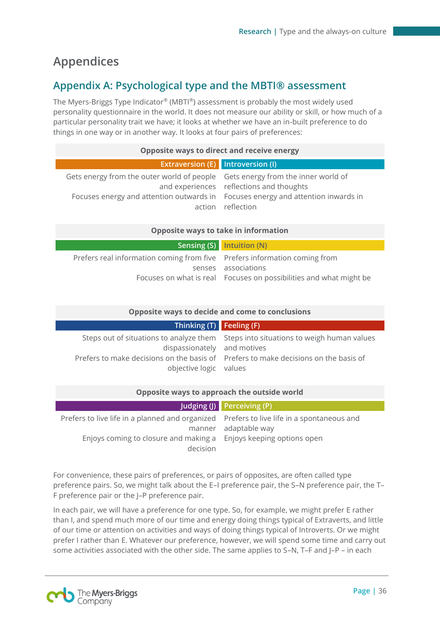# <span id="page-35-0"></span>**Appendices**

### **Appendix A: Psychological type and the MBTI® assessment**

The Myers-Briggs Type Indicator® (MBTI®) assessment is probably the most widely used personality questionnaire in the world. It does not measure our ability or skill, or how much of a particular personality trait we have; it looks at whether we have an in-built preference to do things in one way or in another way. It looks at four pairs of preferences:

| <b>Opposite ways to direct and receive energy</b>                                                                                                                  |                                                               |  |
|--------------------------------------------------------------------------------------------------------------------------------------------------------------------|---------------------------------------------------------------|--|
| Extraversion (E) Introversion (I)                                                                                                                                  |                                                               |  |
| Gets energy from the outer world of people Gets energy from the inner world of<br>Focuses energy and attention outwards in Focuses energy and attention inwards in | and experiences reflections and thoughts<br>action reflection |  |

#### **Opposite ways to take in information**

| Sensing (S) Intuition (N)                                                 |
|---------------------------------------------------------------------------|
| Prefers real information coming from five Prefers information coming from |
| senses associations                                                       |
| Focuses on what is real Focuses on possibilities and what might be        |
|                                                                           |

| Opposite ways to decide and come to conclusions       |                                                                                                                                                                            |  |
|-------------------------------------------------------|----------------------------------------------------------------------------------------------------------------------------------------------------------------------------|--|
| Thinking $(T)$ Feeling $(F)$                          |                                                                                                                                                                            |  |
| dispassionately and motives<br>objective logic values | Steps out of situations to analyze them Steps into situations to weigh human values<br>Prefers to make decisions on the basis of Prefers to make decisions on the basis of |  |

| Opposite ways to approach the outside world                                                                                                                                |                            |  |  |
|----------------------------------------------------------------------------------------------------------------------------------------------------------------------------|----------------------------|--|--|
|                                                                                                                                                                            | Judging (J) Perceiving (P) |  |  |
| Prefers to live life in a planned and organized Prefers to live life in a spontaneous and<br>Enjoys coming to closure and making a Enjoys keeping options open<br>decision | manner adaptable way       |  |  |

For convenience, these pairs of preferences, or pairs of opposites, are often called type preference pairs. So, we might talk about the E–I preference pair, the S–N preference pair, the T– F preference pair or the J–P preference pair.

In each pair, we will have a preference for one type. So, for example, we might prefer E rather than I, and spend much more of our time and energy doing things typical of Extraverts, and little of our time or attention on activities and ways of doing things typical of Introverts. Or we might prefer I rather than E. Whatever our preference, however, we will spend some time and carry out some activities associated with the other side. The same applies to S–N, T–F and J–P – in each

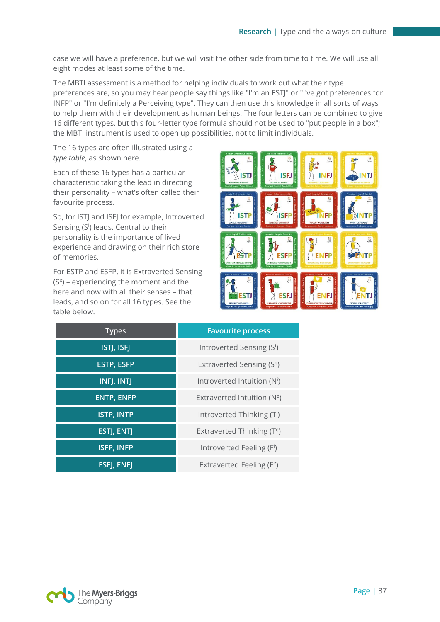case we will have a preference, but we will visit the other side from time to time. We will use all eight modes at least some of the time.

The MBTI assessment is a method for helping individuals to work out what their type preferences are, so you may hear people say things like "I'm an ESTJ" or "I've got preferences for INFP" or "I'm definitely a Perceiving type". They can then use this knowledge in all sorts of ways to help them with their development as human beings. The four letters can be combined to give 16 different types, but this four-letter type formula should not be used to "put people in a box"; the MBTI instrument is used to open up possibilities, not to limit individuals.

The 16 types are often illustrated using a *type table*, as shown here.

Each of these 16 types has a particular characteristic taking the lead in directing their personality – what's often called their favourite process.

So, for ISTJ and ISFJ for example, Introverted Sensing (S<sup>i</sup>) leads. Central to their personality is the importance of lived experience and drawing on their rich store of memories.

For ESTP and ESFP, it is Extraverted Sensing (S<sup>e</sup> ) – experiencing the moment and the here and now with all their senses – that leads, and so on for all 16 types. See the table below.



| <b>Types</b>      | <b>Favourite process</b>                |
|-------------------|-----------------------------------------|
| <b>ISTJ, ISFJ</b> | Introverted Sensing (Si)                |
| <b>ESTP, ESFP</b> | Extraverted Sensing (S <sup>e</sup> )   |
| INFJ, INTJ        | Introverted Intuition (N <sup>i</sup> ) |
| <b>ENTP, ENFP</b> | Extraverted Intuition ( $Ne$ )          |
| <b>ISTP, INTP</b> | Introverted Thinking (T <sup>i</sup> )  |
| <b>ESTJ, ENTJ</b> | Extraverted Thinking (T <sup>e</sup> )  |
| <b>ISFP, INFP</b> | Introverted Feeling (Fi)                |
| ESFJ, ENFJ        | Extraverted Feeling (F <sup>e</sup> )   |

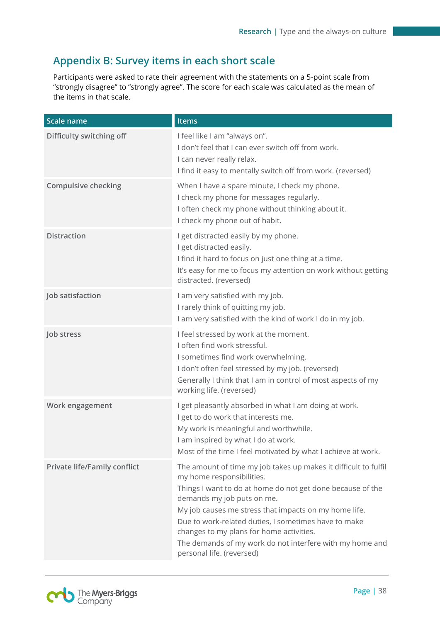### **Appendix B: Survey items in each short scale**

Participants were asked to rate their agreement with the statements on a 5-point scale from "strongly disagree" to "strongly agree". The score for each scale was calculated as the mean of the items in that scale.

| Scale name                          | Items                                                                                                                                                                                                                                                                                                                                                                                                                                          |
|-------------------------------------|------------------------------------------------------------------------------------------------------------------------------------------------------------------------------------------------------------------------------------------------------------------------------------------------------------------------------------------------------------------------------------------------------------------------------------------------|
| Difficulty switching off            | I feel like I am "always on".<br>I don't feel that I can ever switch off from work.<br>I can never really relax.<br>I find it easy to mentally switch off from work. (reversed)                                                                                                                                                                                                                                                                |
| <b>Compulsive checking</b>          | When I have a spare minute, I check my phone.<br>I check my phone for messages regularly.<br>I often check my phone without thinking about it.<br>I check my phone out of habit.                                                                                                                                                                                                                                                               |
| <b>Distraction</b>                  | I get distracted easily by my phone.<br>I get distracted easily.<br>I find it hard to focus on just one thing at a time.<br>It's easy for me to focus my attention on work without getting<br>distracted. (reversed)                                                                                                                                                                                                                           |
| Job satisfaction                    | I am very satisfied with my job.<br>I rarely think of quitting my job.<br>I am very satisfied with the kind of work I do in my job.                                                                                                                                                                                                                                                                                                            |
| Job stress                          | I feel stressed by work at the moment.<br>I often find work stressful.<br>I sometimes find work overwhelming.<br>I don't often feel stressed by my job. (reversed)<br>Generally I think that I am in control of most aspects of my<br>working life. (reversed)                                                                                                                                                                                 |
| Work engagement                     | I get pleasantly absorbed in what I am doing at work.<br>I get to do work that interests me.<br>My work is meaningful and worthwhile.<br>I am inspired by what I do at work.<br>Most of the time I feel motivated by what I achieve at work.                                                                                                                                                                                                   |
| <b>Private life/Family conflict</b> | The amount of time my job takes up makes it difficult to fulfil<br>my home responsibilities.<br>Things I want to do at home do not get done because of the<br>demands my job puts on me.<br>My job causes me stress that impacts on my home life.<br>Due to work-related duties, I sometimes have to make<br>changes to my plans for home activities.<br>The demands of my work do not interfere with my home and<br>personal life. (reversed) |

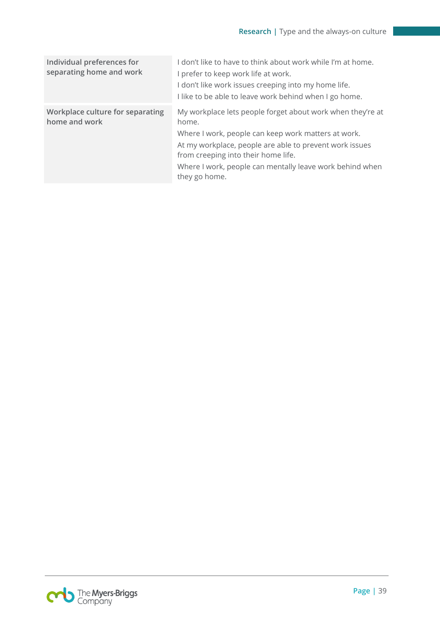| Individual preferences for<br>separating home and work | I don't like to have to think about work while I'm at home.<br>I prefer to keep work life at work.<br>I don't like work issues creeping into my home life.<br>I like to be able to leave work behind when I go home.                                                                                      |
|--------------------------------------------------------|-----------------------------------------------------------------------------------------------------------------------------------------------------------------------------------------------------------------------------------------------------------------------------------------------------------|
| Workplace culture for separating<br>home and work      | My workplace lets people forget about work when they're at<br>home.<br>Where I work, people can keep work matters at work.<br>At my workplace, people are able to prevent work issues<br>from creeping into their home life.<br>Where I work, people can mentally leave work behind when<br>they go home. |

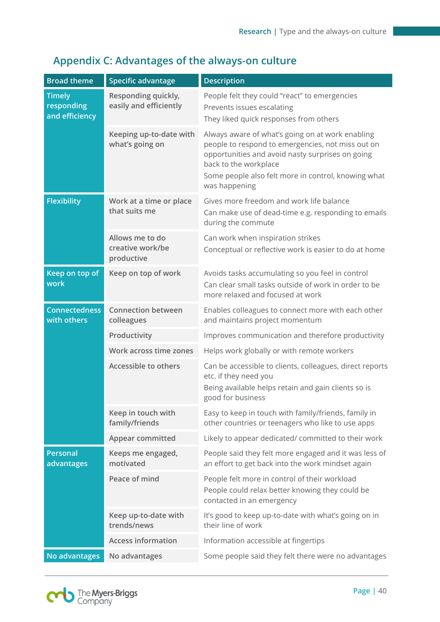#### **Broad theme** Specific advantage **Description Timely responding and efficiency Responding quickly, easily and efficiently** People felt they could "react" to emergencies Prevents issues escalating They liked quick responses from others **Keeping up-to-date with what's going on** Always aware of what's going on at work enabling people to respond to emergencies, not miss out on opportunities and avoid nasty surprises on going back to the workplace Some people also felt more in control, knowing what was happening **Flexibility Work at a time or place that suits me** Gives more freedom and work life balance Can make use of dead-time e.g. responding to emails during the commute **Allows me to do creative work/be productive**  Can work when inspiration strikes Conceptual or reflective work is easier to do at home **Keep on top of work Keep on top of work** Avoids tasks accumulating so you feel in control Can clear small tasks outside of work in order to be more relaxed and focused at work **Connectedness with others Connection between colleagues** Enables colleagues to connect more with each other and maintains project momentum **Productivity** Improves communication and therefore productivity **Work across time zones** Helps work globally or with remote workers **Accessible to others** Can be accessible to clients, colleagues, direct reports etc. if they need you Being available helps retain and gain clients so is good for business **Keep in touch with family/friends** Easy to keep in touch with family/friends, family in other countries or teenagers who like to use apps **Appear committed** Likely to appear dedicated/ committed to their work **Personal advantages Keeps me engaged, motivated** People said they felt more engaged and it was less of an effort to get back into the work mindset again **Peace of mind** People felt more in control of their workload People could relax better knowing they could be contacted in an emergency **Keep up-to-date with trends/news** It's good to keep up-to-date with what's going on in their line of work **Access information** Information accessible at fingertips **No advantages No advantages** Some people said they felt there were no advantages

### **Appendix C: Advantages of the always-on culture**

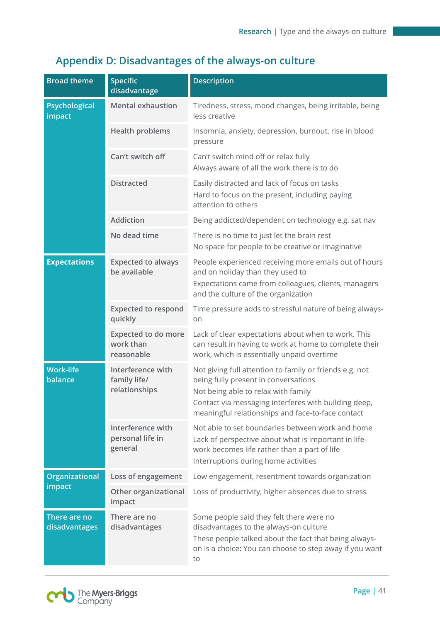# **Appendix D: Disadvantages of the always-on culture**

| <b>Broad theme</b>            | <b>Specific</b><br>disadvantage                       | <b>Description</b>                                                                                                                                                                                                                                  |
|-------------------------------|-------------------------------------------------------|-----------------------------------------------------------------------------------------------------------------------------------------------------------------------------------------------------------------------------------------------------|
| Psychological<br>impact       | <b>Mental exhaustion</b>                              | Tiredness, stress, mood changes, being irritable, being<br>less creative                                                                                                                                                                            |
|                               | <b>Health problems</b>                                | Insomnia, anxiety, depression, burnout, rise in blood<br>pressure                                                                                                                                                                                   |
|                               | Can't switch off                                      | Can't switch mind off or relax fully<br>Always aware of all the work there is to do                                                                                                                                                                 |
|                               | <b>Distracted</b>                                     | Easily distracted and lack of focus on tasks<br>Hard to focus on the present, including paying<br>attention to others                                                                                                                               |
|                               | <b>Addiction</b>                                      | Being addicted/dependent on technology e.g. sat nav                                                                                                                                                                                                 |
|                               | No dead time                                          | There is no time to just let the brain rest<br>No space for people to be creative or imaginative                                                                                                                                                    |
| <b>Expectations</b>           | <b>Expected to always</b><br>be available             | People experienced receiving more emails out of hours<br>and on holiday than they used to<br>Expectations came from colleagues, clients, managers<br>and the culture of the organization                                                            |
|                               | <b>Expected to respond</b><br>quickly                 | Time pressure adds to stressful nature of being always-<br>on                                                                                                                                                                                       |
|                               | <b>Expected to do more</b><br>work than<br>reasonable | Lack of clear expectations about when to work. This<br>can result in having to work at home to complete their<br>work, which is essentially unpaid overtime                                                                                         |
| <b>Work-life</b><br>balance   | Interference with<br>family life/<br>relationships    | Not giving full attention to family or friends e.g. not<br>being fully present in conversations<br>Not being able to relax with family<br>Contact via messaging interferes with building deep,<br>meaningful relationships and face-to-face contact |
|                               | Interference with<br>personal life in<br>general      | Not able to set boundaries between work and home<br>Lack of perspective about what is important in life-<br>work becomes life rather than a part of life<br>Interruptions during home activities                                                    |
| Organizational<br>impact      | Loss of engagement                                    | Low engagement, resentment towards organization                                                                                                                                                                                                     |
|                               | Other organizational<br>impact                        | Loss of productivity, higher absences due to stress                                                                                                                                                                                                 |
| There are no<br>disadvantages | There are no<br>disadvantages                         | Some people said they felt there were no<br>disadvantages to the always-on culture<br>These people talked about the fact that being always-<br>on is a choice: You can choose to step away if you want<br>to                                        |